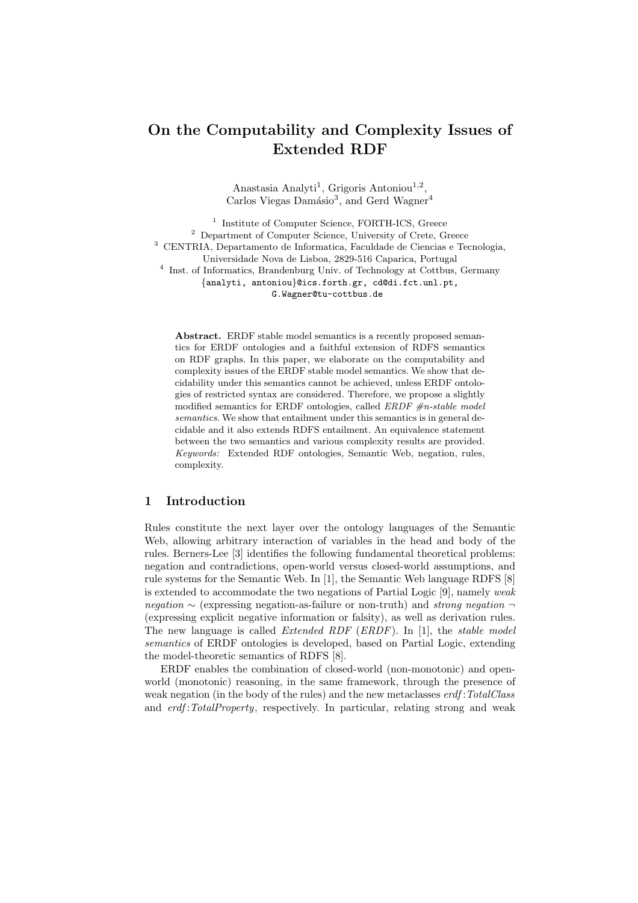# On the Computability and Complexity Issues of Extended RDF

Anastasia Analyti<sup>1</sup>, Grigoris Antoniou<sup>1,2</sup>, Carlos Viegas Damásio<sup>3</sup>, and Gerd Wagner<sup>4</sup>

<sup>1</sup> Institute of Computer Science, FORTH-ICS, Greece <sup>2</sup> Department of Computer Science, University of Crete, Greece <sup>3</sup> CENTRIA, Departamento de Informatica, Faculdade de Ciencias e Tecnologia, Universidade Nova de Lisboa, 2829-516 Caparica, Portugal <sup>4</sup> Inst. of Informatics, Brandenburg Univ. of Technology at Cottbus, Germany {analyti, antoniou}@ics.forth.gr, cd@di.fct.unl.pt, G.Wagner@tu-cottbus.de

Abstract. ERDF stable model semantics is a recently proposed semantics for ERDF ontologies and a faithful extension of RDFS semantics on RDF graphs. In this paper, we elaborate on the computability and complexity issues of the ERDF stable model semantics. We show that decidability under this semantics cannot be achieved, unless ERDF ontologies of restricted syntax are considered. Therefore, we propose a slightly modified semantics for ERDF ontologies, called  $ERDF \neq n-stable \ model$ semantics. We show that entailment under this semantics is in general decidable and it also extends RDFS entailment. An equivalence statement between the two semantics and various complexity results are provided. Keywords: Extended RDF ontologies, Semantic Web, negation, rules, complexity.

### 1 Introduction

Rules constitute the next layer over the ontology languages of the Semantic Web, allowing arbitrary interaction of variables in the head and body of the rules. Berners-Lee [3] identifies the following fundamental theoretical problems: negation and contradictions, open-world versus closed-world assumptions, and rule systems for the Semantic Web. In [1], the Semantic Web language RDFS [8] is extended to accommodate the two negations of Partial Logic [9], namely weak negation ∼ (expressing negation-as-failure or non-truth) and strong negation ¬ (expressing explicit negative information or falsity), as well as derivation rules. The new language is called *Extended RDF* (*ERDF*). In [1], the *stable model* semantics of ERDF ontologies is developed, based on Partial Logic, extending the model-theoretic semantics of RDFS [8].

ERDF enables the combination of closed-world (non-monotonic) and openworld (monotonic) reasoning, in the same framework, through the presence of weak negation (in the body of the rules) and the new metaclasses erdf: TotalClass and erdf: TotalProperty, respectively. In particular, relating strong and weak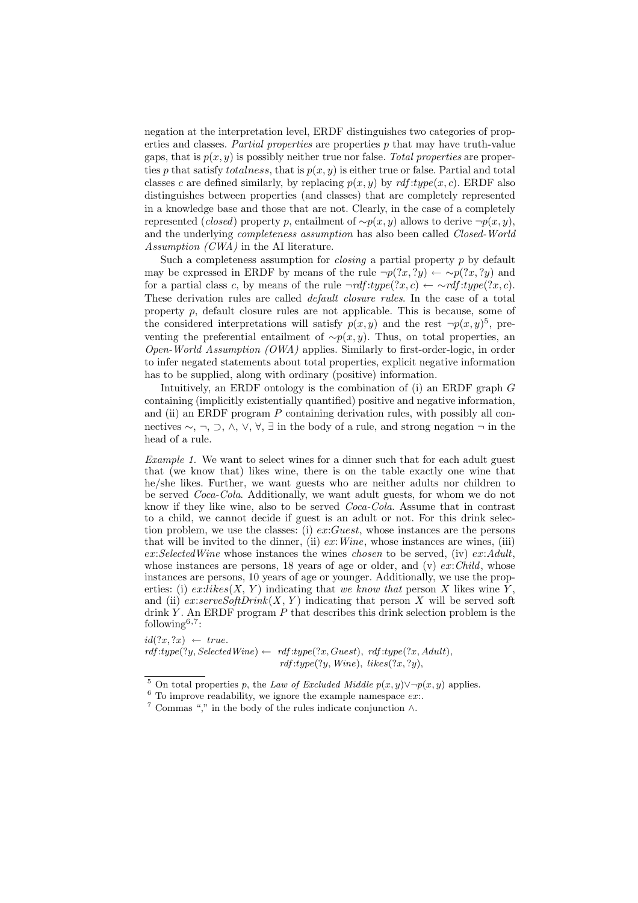negation at the interpretation level, ERDF distinguishes two categories of properties and classes. Partial properties are properties  $p$  that may have truth-value gaps, that is  $p(x, y)$  is possibly neither true nor false. Total properties are properties p that satisfy totalness, that is  $p(x, y)$  is either true or false. Partial and total classes c are defined similarly, by replacing  $p(x, y)$  by  $\textit{rdf:type}(x, c)$ . ERDF also distinguishes between properties (and classes) that are completely represented in a knowledge base and those that are not. Clearly, in the case of a completely represented (*closed*) property p, entailment of  $\sim p(x, y)$  allows to derive  $\neg p(x, y)$ , and the underlying *completeness assumption* has also been called *Closed-World* Assumption (CWA) in the AI literature.

Such a completeness assumption for *closing* a partial property  $p$  by default may be expressed in ERDF by means of the rule  $\neg p(2x, 2y) \leftarrow \sim p(2x, 2y)$  and for a partial class c, by means of the rule  $\neg rdf : type(?x, c) \leftarrow \sim rdf : type(?x, c)$ . These derivation rules are called *default closure rules*. In the case of a total property p, default closure rules are not applicable. This is because, some of the considered interpretations will satisfy  $p(x, y)$  and the rest  $\neg p(x, y)$ <sup>5</sup>, preventing the preferential entailment of  $\sim p(x, y)$ . Thus, on total properties, an Open-World Assumption (OWA) applies. Similarly to first-order-logic, in order to infer negated statements about total properties, explicit negative information has to be supplied, along with ordinary (positive) information.

Intuitively, an ERDF ontology is the combination of (i) an ERDF graph  $G$ containing (implicitly existentially quantified) positive and negative information, and (ii) an ERDF program P containing derivation rules, with possibly all connectives  $\sim$ ,  $\neg$ ,  $\supset$ ,  $\wedge$ ,  $\vee$ ,  $\exists$  in the body of a rule, and strong negation  $\neg$  in the head of a rule.

Example 1. We want to select wines for a dinner such that for each adult guest that (we know that) likes wine, there is on the table exactly one wine that he/she likes. Further, we want guests who are neither adults nor children to be served Coca-Cola. Additionally, we want adult guests, for whom we do not know if they like wine, also to be served Coca-Cola. Assume that in contrast to a child, we cannot decide if guest is an adult or not. For this drink selection problem, we use the classes: (i) ex:Guest, whose instances are the persons that will be invited to the dinner, (ii)  $ex:Wine$ , whose instances are wines, (iii)  $ex:SelectedWine$  whose instances the wines *chosen* to be served, (iv)  $ex: Adult$ . whose instances are persons, 18 years of age or older, and  $(v)$  ex: Child, whose instances are persons, 10 years of age or younger. Additionally, we use the properties: (i)  $ex:likes(X, Y)$  indicating that we know that person X likes wine Y, and (ii)  $ex:serveSoftDrink(X, Y)$  indicating that person X will be served soft drink  $Y$ . An ERDF program  $P$  that describes this drink selection problem is the  $\text{following}^{6,7}$ :

 $id(?x, ?x) \leftarrow true.$  $\textit{rdf}.type(?y, SelectedWine) \leftarrow \textit{rdf}.type(?x, Guess), \textit{rdf}.type(?x, Adult),$  $\textit{rdf}: \textit{type}(?y, \textit{Wine}), \textit{likes}(?x, ?y),$ 

<sup>&</sup>lt;sup>5</sup> On total properties p, the Law of Excluded Middle  $p(x, y) \vee \neg p(x, y)$  applies.

 $6$  To improve readability, we ignore the example namespace  $ex$ .

<sup>&</sup>lt;sup>7</sup> Commas "," in the body of the rules indicate conjunction  $\wedge$ .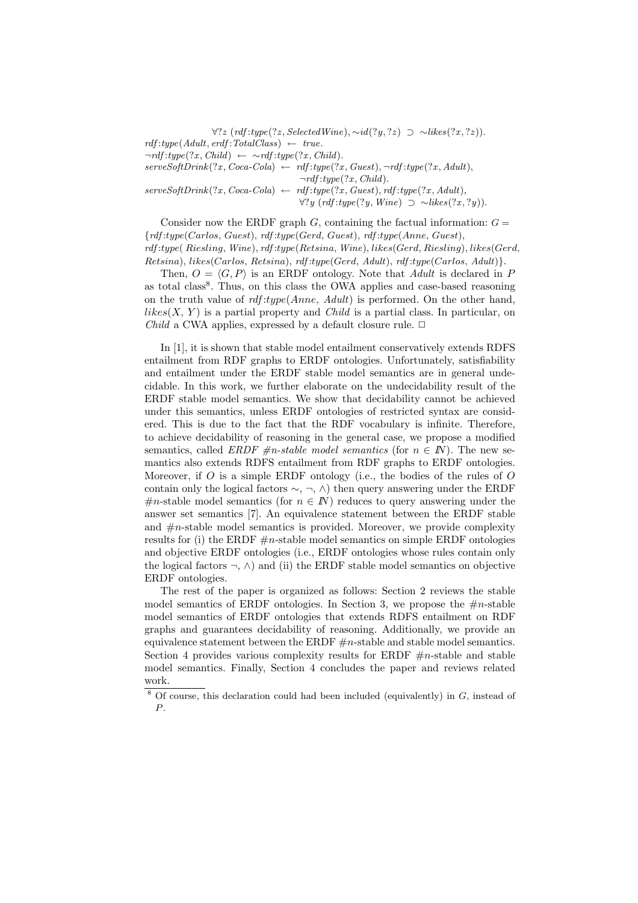$\forall ?z \ (rdf:type(?z, SelectedWine), \sim id(?y, ?z) \supset \sim likes(?x, ?z)).$  $rdf: type(Adult, erdf:TotalClass) \leftarrow true.$  $\neg\textit{rdf}:type(?x, Child) \leftarrow \sim \textit{rdf}:type(?x, Child).$  $serveSoftDrink(?x, Coca-Cola) \leftarrow rdf: type(?x, Guest), \neg rdf: type(?x, Adult),$  $\neg\textit{rdf}: \textit{type}(?x, \textit{Child}).$  $servesSoftDrink(?x, Coca-Cola) \leftarrow \; rdf.type(?x, Guest), rdf.type(?x, Adult),$  $\forall ?y \ (rdf:type(?y, \text{Wine}) \supset \sim \text{likes}(?x, ?y)).$ 

Consider now the ERDF graph G, containing the factual information:  $G =$ {rdf :type(Carlos, Guest), rdf :type(Gerd, Guest), rdf :type(Anne, Guest), rdf :type( Riesling, Wine), rdf :type(Retsina, Wine), likes(Gerd, Riesling), likes(Gerd,  $Retsina)$ , likes(Carlos, Retsina), rdf:type(Gerd, Adult), rdf:type(Carlos, Adult)}.

Then,  $O = \langle G, P \rangle$  is an ERDF ontology. Note that Adult is declared in P as total class<sup>8</sup>. Thus, on this class the OWA applies and case-based reasoning on the truth value of  $\textit{rdf:type}(Anne, \textit{Adult})$  is performed. On the other hand,  $likes(X, Y)$  is a partial property and *Child* is a partial class. In particular, on Child a CWA applies, expressed by a default closure rule.  $\Box$ 

In [1], it is shown that stable model entailment conservatively extends RDFS entailment from RDF graphs to ERDF ontologies. Unfortunately, satisfiability and entailment under the ERDF stable model semantics are in general undecidable. In this work, we further elaborate on the undecidability result of the ERDF stable model semantics. We show that decidability cannot be achieved under this semantics, unless ERDF ontologies of restricted syntax are considered. This is due to the fact that the RDF vocabulary is infinite. Therefore, to achieve decidability of reasoning in the general case, we propose a modified semantics, called ERDF  $\#n\text{-stable model semantics}$  (for  $n \in \mathbb{N}$ ). The new semantics also extends RDFS entailment from RDF graphs to ERDF ontologies. Moreover, if  $O$  is a simple ERDF ontology (i.e., the bodies of the rules of  $O$ contain only the logical factors  $\sim$ ,  $\neg$ ,  $\wedge$ ) then query answering under the ERDF #n-stable model semantics (for  $n \in \mathbb{N}$ ) reduces to query answering under the answer set semantics [7]. An equivalence statement between the ERDF stable and  $\#n$ -stable model semantics is provided. Moreover, we provide complexity results for (i) the ERDF  $\#n$ -stable model semantics on simple ERDF ontologies and objective ERDF ontologies (i.e., ERDF ontologies whose rules contain only the logical factors  $\neg$ ,  $\wedge$ ) and (ii) the ERDF stable model semantics on objective ERDF ontologies.

The rest of the paper is organized as follows: Section 2 reviews the stable model semantics of ERDF ontologies. In Section 3, we propose the  $\#n$ -stable model semantics of ERDF ontologies that extends RDFS entailment on RDF graphs and guarantees decidability of reasoning. Additionally, we provide an equivalence statement between the ERDF  $\#n$ -stable and stable model semantics. Section 4 provides various complexity results for ERDF  $\#n$ -stable and stable model semantics. Finally, Section 4 concludes the paper and reviews related work.

 $8$  Of course, this declaration could had been included (equivalently) in  $G$ , instead of P.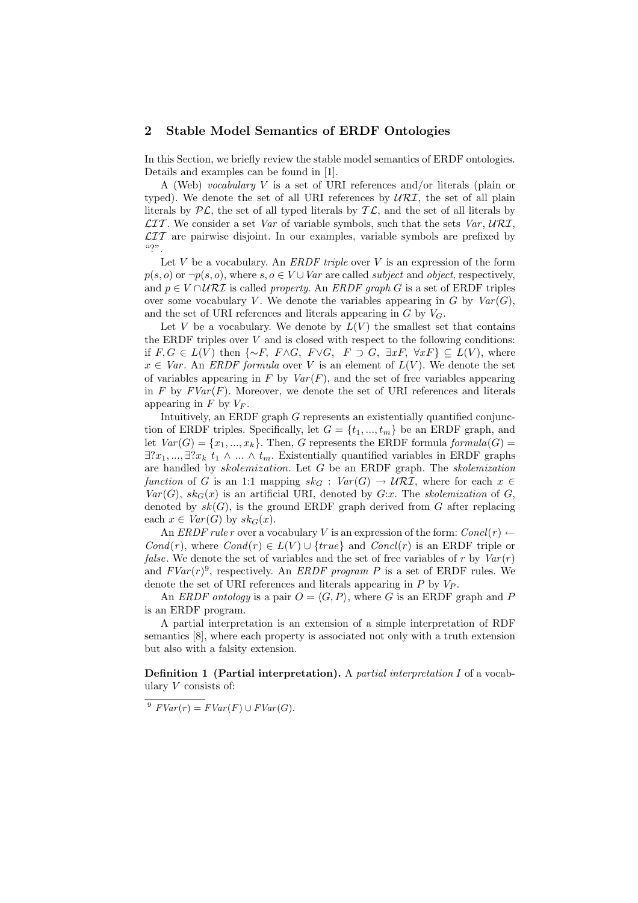### 2 Stable Model Semantics of ERDF Ontologies

In this Section, we briefly review the stable model semantics of ERDF ontologies. Details and examples can be found in [1].

A (Web) vocabulary V is a set of URI references and/or literals (plain or typed). We denote the set of all URI references by  $URI$ , the set of all plain literals by  $\mathcal{PL}$ , the set of all typed literals by  $\mathcal{TL}$ , and the set of all literals by  $\mathcal{L} \mathcal{I} \mathcal{T}$ . We consider a set Var of variable symbols, such that the sets Var,  $\mathcal{U} \mathcal{R} \mathcal{I}$ ,  $\mathcal{L}I\mathcal{T}$  are pairwise disjoint. In our examples, variable symbols are prefixed by  $"$ ?".

Let  $V$  be a vocabulary. An *ERDF triple* over  $V$  is an expression of the form  $p(s, o)$  or  $\neg p(s, o)$ , where  $s, o \in V \cup Var$  are called *subject* and *object*, respectively, and  $p \in V \cap URT$  is called property. An *ERDF graph G* is a set of ERDF triples over some vocabulary V. We denote the variables appearing in G by  $Var(G)$ , and the set of URI references and literals appearing in  $G$  by  $V_G$ .

Let V be a vocabulary. We denote by  $L(V)$  the smallest set that contains the ERDF triples over  $V$  and is closed with respect to the following conditions: if  $F, G \in L(V)$  then  $\{\sim F, F \wedge G, F \vee G, F \supset G, \exists x F, \forall x F\} \subseteq L(V)$ , where  $x \in Var$ . An *ERDF formula* over V is an element of  $L(V)$ . We denote the set of variables appearing in F by  $Var(F)$ , and the set of free variables appearing in F by  $FVar(F)$ . Moreover, we denote the set of URI references and literals appearing in  $F$  by  $V_F$ .

Intuitively, an ERDF graph  $G$  represents an existentially quantified conjunction of ERDF triples. Specifically, let  $G = \{t_1, ..., t_m\}$  be an ERDF graph, and let  $Var(G) = \{x_1, ..., x_k\}$ . Then, G represents the ERDF formula formula  $(G)$  $\exists$ ? $x_1, ..., \exists$ ? $x_k$   $t_1 \wedge ... \wedge t_m$ . Existentially quantified variables in ERDF graphs are handled by skolemization. Let G be an ERDF graph. The skolemization function of G is an 1:1 mapping  $sk_G: Var(G) \to \mathcal{URI}$ , where for each  $x \in$  $Var(G)$ ,  $sk_G(x)$  is an artificial URI, denoted by G:x. The skolemization of G, denoted by  $sk(G)$ , is the ground ERDF graph derived from G after replacing each  $x \in Var(G)$  by  $sk_G(x)$ .

An ERDF rule r over a vocabulary V is an expression of the form:  $Concl(r) \leftarrow$ Cond(r), where  $Cond(r) \in L(V) \cup \{true\}$  and  $Concl(r)$  is an ERDF triple or *false.* We denote the set of variables and the set of free variables of r by  $Var(r)$ and  $FVar(r)^9$ , respectively. An *ERDF program P* is a set of ERDF rules. We denote the set of URI references and literals appearing in  $P$  by  $V_P$ .

An *ERDF* ontology is a pair  $O = \langle G, P \rangle$ , where G is an ERDF graph and P is an ERDF program.

A partial interpretation is an extension of a simple interpretation of RDF semantics [8], where each property is associated not only with a truth extension but also with a falsity extension.

Definition 1 (Partial interpretation). A partial interpretation I of a vocabulary  $V$  consists of:

<sup>&</sup>lt;sup>9</sup>  $FVar(r) = FVar(F) \cup FVar(G)$ .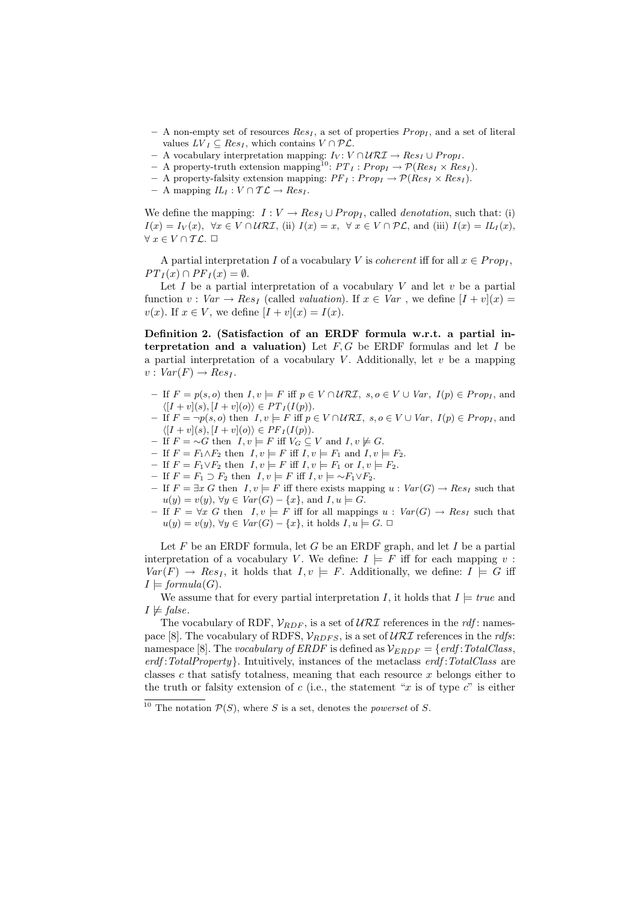- A non-empty set of resources  $Res_I$ , a set of properties  $Prop_I$ , and a set of literal values  $LV_I \subseteq Res_I$ , which contains  $V \cap \mathcal{PL}$ .
- A vocabulary interpretation mapping:  $I_V: V \cap URT \rightarrow Res_I \cup Prop_I$ .
- A property-truth extension mapping<sup>10</sup>:  $PT_I : Prop_I \rightarrow \mathcal{P}(Res_I \times Res_I)$ .
- A property-falsity extension mapping:  $PF_I : Prop_I \rightarrow \mathcal{P}(Res_I \times Res_I).$
- A mapping  $IL_I: V \cap T\mathcal{L} \rightarrow Res_I$ .

We define the mapping:  $I: V \to Res_I \cup Prop_I$ , called *denotation*, such that: (i)  $I(x) = I_V(x)$ ,  $\forall x \in V \cap URT$ , (ii)  $I(x) = x$ ,  $\forall x \in V \cap \mathcal{PL}$ , and (iii)  $I(x) = IL_I(x)$ ,  $\forall x \in V \cap T\mathcal{L}$ .

A partial interpretation I of a vocabulary V is *coherent* iff for all  $x \in Prop<sub>I</sub>$ ,  $PT_I(x) \cap PF_I(x) = \emptyset.$ 

Let  $I$  be a partial interpretation of a vocabulary  $V$  and let  $v$  be a partial function  $v: Var \rightarrow Res_I$  (called valuation). If  $x \in Var$ , we define  $[I + v](x) =$  $v(x)$ . If  $x \in V$ , we define  $[I + v](x) = I(x)$ .

Definition 2. (Satisfaction of an ERDF formula w.r.t. a partial interpretation and a valuation) Let  $F, G$  be ERDF formulas and let  $I$  be a partial interpretation of a vocabulary  $V$ . Additionally, let  $v$  be a mapping  $v: Var(F) \rightarrow Res_I$ .

- If  $F = p(s, o)$  then  $I, v \models F$  iff  $p \in V \cap URT$ ,  $s, o \in V \cup Var$ ,  $I(p) \in Prop<sub>I</sub>$ , and  $\langle [I + v](s), [I + v](o) \rangle \in PT_I(I(p)).$
- If  $F = \neg p(s, o)$  then  $I, v \models F$  iff  $p \in V \cap URT$ ,  $s, o \in V \cup Var$ ,  $I(p) \in Prop<sub>I</sub>$ , and  $\langle [I + v](s), [I + v](o) \rangle \in PF_I(I(p)).$
- If  $F = \neg G$  then  $I, v \models F$  iff  $V_G ⊆ V$  and  $I, v \not\models G$ .
- If  $F = F_1 \wedge F_2$  then  $I, v \models F$  iff  $I, v \models F_1$  and  $I, v \models F_2$ .
- If  $F = F_1 \vee F_2$  then  $I, v \models F$  iff  $I, v \models F_1$  or  $I, v \models F_2$ .
- If  $F = F_1 \supset F_2$  then  $I, v \models F$  iff  $I, v \models \sim F_1 \vee F_2$ .
- If  $F = \exists x G$  then  $I, v \models F$  iff there exists mapping  $u : Var(G) \rightarrow Res_I$  such that  $u(y) = v(y)$ ,  $\forall y \in Var(G) - \{x\}$ , and  $I, u \models G$ .
- If  $F = \forall x \ G$  then  $I, v \models F$  iff for all mappings  $u : Var(G) \rightarrow Res_I$  such that  $u(y) = v(y)$ ,  $\forall y \in Var(G) - \{x\}$ , it holds  $I, u \models G$ .  $\Box$

Let F be an ERDF formula, let G be an ERDF graph, and let I be a partial interpretation of a vocabulary V. We define:  $I \models F$  iff for each mapping v:  $Var(F) \rightarrow Res_I$ , it holds that  $I, v \models F$ . Additionally, we define:  $I \models G$  iff  $I \models formula(G).$ 

We assume that for every partial interpretation I, it holds that  $I \models true$  and  $I \not\models false.$ 

The vocabulary of RDF,  $V_{RDF}$ , is a set of  $URI$  references in the rdf: namespace [8]. The vocabulary of RDFS,  $V_{RDFS}$ , is a set of  $URI$  references in the *rdfs*: namespace [8]. The *vocabulary of ERDF* is defined as  $V_{ERDF} = \{erdf : Total Class,$  $erdf:TotalProperty\}.$  Intuitively, instances of the metaclass  $erdf:TotalClass$  are classes  $c$  that satisfy totalness, meaning that each resource  $x$  belongs either to the truth or falsity extension of c (i.e., the statement "x is of type  $c$ " is either

<sup>&</sup>lt;sup>10</sup> The notation  $P(S)$ , where S is a set, denotes the *powerset* of S.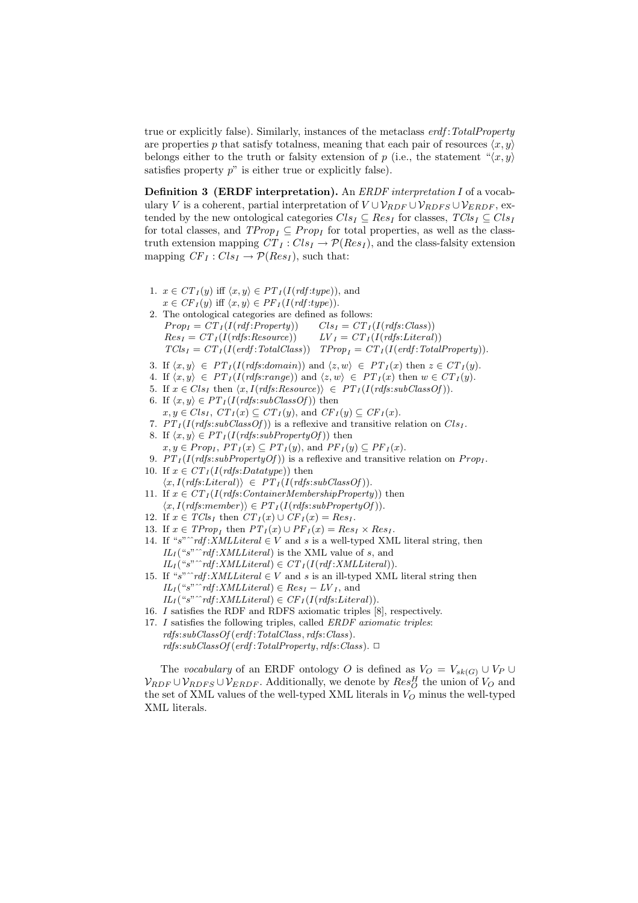true or explicitly false). Similarly, instances of the metaclass *erdf*: TotalProperty are properties p that satisfy totalness, meaning that each pair of resources  $\langle x, y \rangle$ belongs either to the truth or falsity extension of p (i.e., the statement " $\langle x, y \rangle$ satisfies property  $p^{\prime\prime}$  is either true or explicitly false).

Definition 3 (ERDF interpretation). An *ERDF interpretation I* of a vocabulary V is a coherent, partial interpretation of  $V \cup \mathcal{V}_{RDF} \cup \mathcal{V}_{RDFS} \cup \mathcal{V}_{ERDF}$ , extended by the new ontological categories  $Cls_I \subseteq Res_I$  for classes,  $TCls_I \subseteq Cls_I$ for total classes, and  $TProp<sub>I</sub> \subseteq Prop<sub>I</sub>$  for total properties, as well as the classtruth extension mapping  $CT_I : Cls_I \rightarrow \mathcal{P}(Res_I)$ , and the class-falsity extension mapping  $CF_I: Cls_I \rightarrow \mathcal{P}(Res_I)$ , such that:

- 1.  $x \in CT_I(y)$  iff  $\langle x, y \rangle \in PT_I(I(rdf:type))$ , and  $x \in CF_I(y)$  iff  $\langle x, y \rangle \in PF_I(I(rdf:type)).$ 2. The ontological categories are defined as follows:<br>  $Prop_I = CT_I(I(rdf:Property))$   $Cls_I = CT_I(I(rdfs:Class))$
- $Prop_I = CT_I(I(rdf:Property))$  $Res_I = CT_I(I(rdfs:Resource))$   $LV_I = CT_I(I(rdfs:Listener))$  $TCls_I = CT_I(I(erdf:TotalClass))$   $TProp_I = CT_I(I(erdf:TotalProperty)).$
- 3. If  $\langle x, y \rangle \in PT_I(I(rdfs:domain))$  and  $\langle z, w \rangle \in PT_I(x)$  then  $z \in CT_I(y)$ .
- 4. If  $\langle x, y \rangle \in PT_I(I(rdfs:range))$  and  $\langle z, w \rangle \in PT_I(x)$  then  $w \in CT_I(y)$ .
- 5. If  $x \in Cls_I$  then  $\langle x, I(rdfs:Resource)\rangle \in PT_I(I(rdfs:subClassOf))$ .
- 6. If  $\langle x, y \rangle \in PT_I(I(rdfs:subClassOf))$  then
- $x, y \in Cls_I$ ,  $CT_I(x) \subseteq CT_I(y)$ , and  $CF_I(y) \subseteq CF_I(x)$ .
- 7.  $PT_I(I(rdfs:subClassOf))$  is a reflexive and transitive relation on  $Cls_I$ .
- 8. If  $\langle x, y \rangle \in PT_I(I(rdfs:subPropertyOf))$  then  $x, y \in Prop_I$ ,  $PT_I(x) \subseteq PT_I(y)$ , and  $PF_I(y) \subseteq PF_I(x)$ .
- 9.  $PT_I(I(rdfs:subPropertyOf))$  is a reflexive and transitive relation on  $Prop_I$ .
- 10. If  $x \in CT_I(I(rdfs:Datatype))$  then  $\langle x, I(rdfs: Literal)\rangle \in PT_I(I(rdfs:subClassOf)).$
- 11. If  $x \in CT_I(I(rdfs:ContainerMembershipProperty))$  then  $\langle x, I(rdfs:member)\rangle \in PT_I(I(rdfs:subPropertyOf)).$
- 12. If  $x \in TCls_I$  then  $CT_I(x) \cup CF_I(x) = Res_I$ .
- 13. If  $x \in TProp_I$  then  $PT_I(x) \cup PF_I(x) = Res_I \times Res_I$ .
- 14. If "s"<sup> $\gamma$ </sup>rdf:XMLLiteral  $\in V$  and s is a well-typed XML literal string, then  $IL_I("s"~\hat{r}dt: XMLliteral)$  is the XML value of s, and  $IL_I("s"~\hat{r}~df: XMLLiteral) \in CT_I(I(rdf: XMLLiteral)).$
- 15. If "s"<sup> $\cap$ </sup>rdf:XMLLiteral  $\in V$  and s is an ill-typed XML literal string then  $IL_I("s"~\hat{r}$ rdf:XMLLiteral) ∈ Res<sub>I</sub> – LV<sub>I</sub>, and  $IL_1$ <sup>("s"</sup>rdf:XMLLiteral)  $\in CF_I(I(rdfs:Literal)).$
- 16. I satisfies the RDF and RDFS axiomatic triples [8], respectively.
- 17. I satisfies the following triples, called *ERDF* axiomatic triples: rdfs:subClassOf (erdf :TotalClass, rdfs:Class).  $rdfs:subClassOf(erdf:TotalProperty, rdfs:Class).$

The vocabulary of an ERDF ontology O is defined as  $V_O = V_{sk(G)} \cup V_P \cup$  $\mathcal{V}_{RDF} \cup \mathcal{V}_{RDFS} \cup \mathcal{V}_{ERDF}$ . Additionally, we denote by  $Res_{O}^{H}$  the union of  $V_O$  and the set of XML values of the well-typed XML literals in  $V<sub>O</sub>$  minus the well-typed XML literals.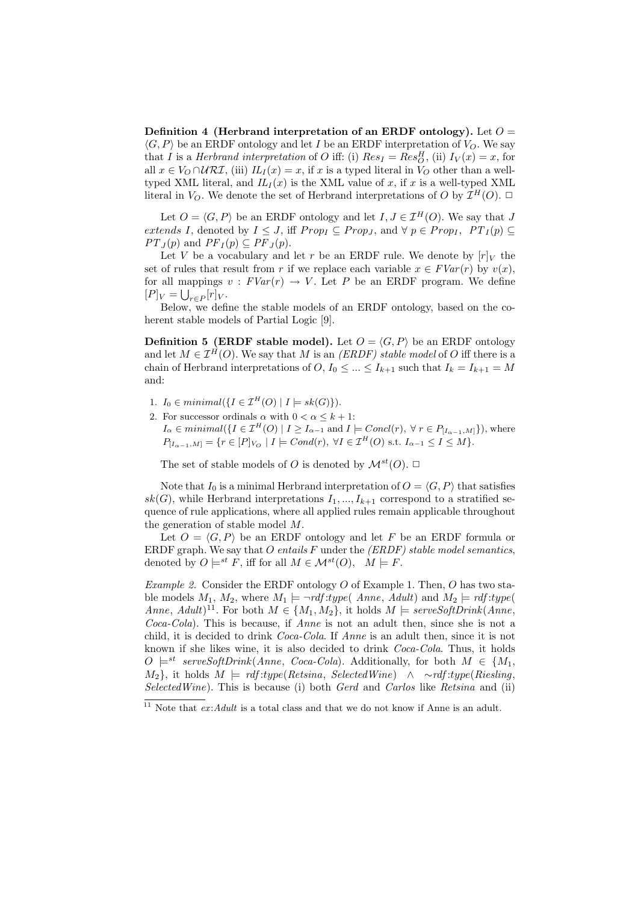Definition 4 (Herbrand interpretation of an ERDF ontology). Let  $O =$  $\langle G, P \rangle$  be an ERDF ontology and let I be an ERDF interpretation of  $V_O$ . We say that I is a *Herbrand interpretation* of O iff: (i)  $Res_I = Res_O^H$ , (ii)  $I_V(x) = x$ , for all  $x \in V_O \cap URI$ , (iii)  $IL_I(x) = x$ , if x is a typed literal in  $V_O$  other than a welltyped XML literal, and  $IL_I(x)$  is the XML value of x, if x is a well-typed XML literal in  $V_O$ . We denote the set of Herbrand interpretations of O by  $\mathcal{I}^H(O)$ .  $\Box$ 

Let  $O = \langle G, P \rangle$  be an ERDF ontology and let  $I, J \in \mathcal{I}^H(O)$ . We say that J extends I, denoted by  $I \leq J$ , iff  $Prop_I \subseteq Prop_J$ , and  $\forall p \in Prop_I$ ,  $PT_I(p) \subseteq$  $PT_J(p)$  and  $PF_I(p) \subseteq PF_J(p)$ .

Let V be a vocabulary and let r be an ERDF rule. We denote by  $[r]_V$  the set of rules that result from r if we replace each variable  $x \in FVar(r)$  by  $v(x)$ , for all mappings  $v : FVar(r) \to V$ . Let P be an ERDF program. We define  $[P]_V = \bigcup_{r \in P} [r]_V.$ 

Below, we define the stable models of an ERDF ontology, based on the coherent stable models of Partial Logic [9].

**Definition 5 (ERDF stable model).** Let  $O = \langle G, P \rangle$  be an ERDF ontology and let  $M \in \mathcal{I}^H(O)$ . We say that M is an *(ERDF) stable model* of O iff there is a chain of Herbrand interpretations of  $O, I_0 \leq ... \leq I_{k+1}$  such that  $I_k = I_{k+1} = M$ and:

- 1.  $I_0 \in minimal({I \in \mathcal{I}^H(O) \mid I \models sk(G)})$ .
- 2. For successor ordinals  $\alpha$  with  $0 < \alpha \leq k + 1$ :  $I_{\alpha} \in minimal(\lbrace I \in \mathcal{I}^H(O) \mid I \geq I_{\alpha-1} \text{ and } I \models Cond(r), \forall r \in P_{[I_{\alpha-1},M]}\rbrace)$ , where  $P_{[I_{\alpha-1},M]} = \{r \in [P]_{V_O} \mid I \models Cond(r), \ \forall I \in \mathcal{I}^H(O) \text{ s.t. } I_{\alpha-1} \leq I \leq M\}.$

The set of stable models of O is denoted by  $\mathcal{M}^{st}(O)$ .  $\Box$ 

Note that  $I_0$  is a minimal Herbrand interpretation of  $O = \langle G, P \rangle$  that satisfies  $sk(G)$ , while Herbrand interpretations  $I_1, ..., I_{k+1}$  correspond to a stratified sequence of rule applications, where all applied rules remain applicable throughout the generation of stable model M.

Let  $O = \langle G, P \rangle$  be an ERDF ontology and let F be an ERDF formula or ERDF graph. We say that O entails F under the  $(ERDF)$  stable model semantics, denoted by  $O \models^{st} F$ , iff for all  $M \in \mathcal{M}^{st}(O)$ ,  $M \models F$ .

Example 2. Consider the ERDF ontology  $O$  of Example 1. Then,  $O$  has two stable models  $M_1$ ,  $M_2$ , where  $M_1 \models \neg \textit{rdf:type}($  Anne, Adult) and  $M_2 \models \textit{rdf:type}($ Anne, Adult)<sup>11</sup>. For both  $M \in \{M_1, M_2\}$ , it holds  $M \models \text{serveSoftDrink}(\text{Anne},$  $Coca-Cola$ ). This is because, if *Anne* is not an adult then, since she is not a child, it is decided to drink *Coca-Cola*. If *Anne* is an adult then, since it is not known if she likes wine, it is also decided to drink Coca-Cola. Thus, it holds  $O \models^{st} \text{serveSoftDrink}(\text{Anne}, \text{Coca-Cola}).$  Additionally, for both  $M \in \{M_1,$  $M_2$ , it holds  $M \models \textit{rdf:type}(Restsina, SelectedWine) \land \sim \textit{rdf:type}(Riesling,$ Selected Wine). This is because (i) both Gerd and Carlos like Retsina and (ii)

<sup>&</sup>lt;sup>11</sup> Note that  $ex:Adult$  is a total class and that we do not know if Anne is an adult.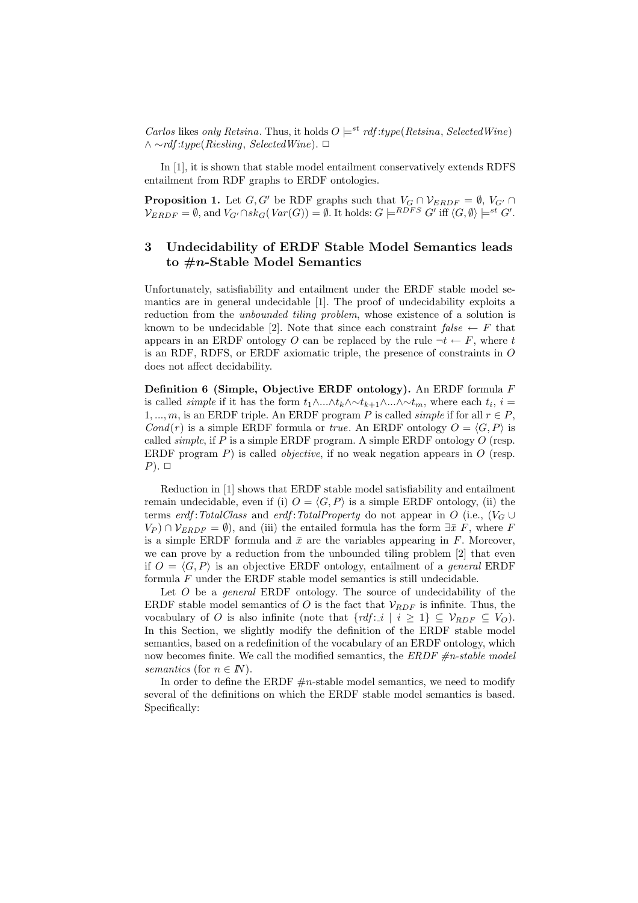*Carlos* likes *only Retsina*. Thus, it holds  $O \models^{st} rdf : type(Restsina, SelectedWine)$  $\wedge \sim rdf : type(Riesling, SelectedWire). \ \Box$ 

In [1], it is shown that stable model entailment conservatively extends RDFS entailment from RDF graphs to ERDF ontologies.

**Proposition 1.** Let  $G, G'$  be RDF graphs such that  $V_G \cap \mathcal{V}_{ERDF} = \emptyset$ ,  $V_{G'} \cap \mathcal{V}_{ERDF}$  $\mathcal{V}_{ERDF} = \emptyset$ , and  $V_{G'} \cap sk_G(Var(G)) = \emptyset$ . It holds:  $G \models^{RDFS} G'$  iff  $\langle G, \emptyset \rangle \models^{st} G'$ .

## 3 Undecidability of ERDF Stable Model Semantics leads to #n-Stable Model Semantics

Unfortunately, satisfiability and entailment under the ERDF stable model semantics are in general undecidable [1]. The proof of undecidability exploits a reduction from the *unbounded tiling problem*, whose existence of a solution is known to be undecidable [2]. Note that since each constraint  $false \leftarrow F$  that appears in an ERDF ontology O can be replaced by the rule  $\neg t \leftarrow F$ , where t is an RDF, RDFS, or ERDF axiomatic triple, the presence of constraints in O does not affect decidability.

Definition 6 (Simple, Objective ERDF ontology). An ERDF formula F is called *simple* if it has the form  $t_1 \wedge ... \wedge t_k \wedge \neg t_{k+1} \wedge ... \wedge \neg t_m$ , where each  $t_i$ ,  $i =$ 1, ..., m, is an ERDF triple. An ERDF program P is called *simple* if for all  $r \in P$ ,  $Cond(r)$  is a simple ERDF formula or *true*. An ERDF ontology  $O = \langle G, P \rangle$  is called *simple*, if P is a simple ERDF program. A simple ERDF ontology  $O$  (resp. ERDF program  $P$ ) is called *objective*, if no weak negation appears in  $O$  (resp.  $P$ ).  $\Box$ 

Reduction in [1] shows that ERDF stable model satisfiability and entailment remain undecidable, even if (i)  $O = \langle G, P \rangle$  is a simple ERDF ontology, (ii) the terms erdf:TotalClass and erdf:TotalProperty do not appear in O (i.e.,  $(V_G \cup$  $V_P$ ) ∩  $V_{ERDF} = \emptyset$ ), and (iii) the entailed formula has the form  $\exists \bar{x} F$ , where F is a simple ERDF formula and  $\bar{x}$  are the variables appearing in  $F$ . Moreover, we can prove by a reduction from the unbounded tiling problem [2] that even if  $O = \langle G, P \rangle$  is an objective ERDF ontology, entailment of a *general* ERDF formula  $F$  under the ERDF stable model semantics is still undecidable.

Let  $O$  be a *general* ERDF ontology. The source of undecidability of the ERDF stable model semantics of O is the fact that  $\mathcal{V}_{RDF}$  is infinite. Thus, the vocabulary of O is also infinite (note that  $\{rdf : i \mid i \geq 1\} \subseteq V_{RDF} \subseteq V_O$ ). In this Section, we slightly modify the definition of the ERDF stable model semantics, based on a redefinition of the vocabulary of an ERDF ontology, which now becomes finite. We call the modified semantics, the  $ERDF \#n-stable \ model$ semantics (for  $n \in I\!\!N$ ).

In order to define the ERDF  $\#n$ -stable model semantics, we need to modify several of the definitions on which the ERDF stable model semantics is based. Specifically: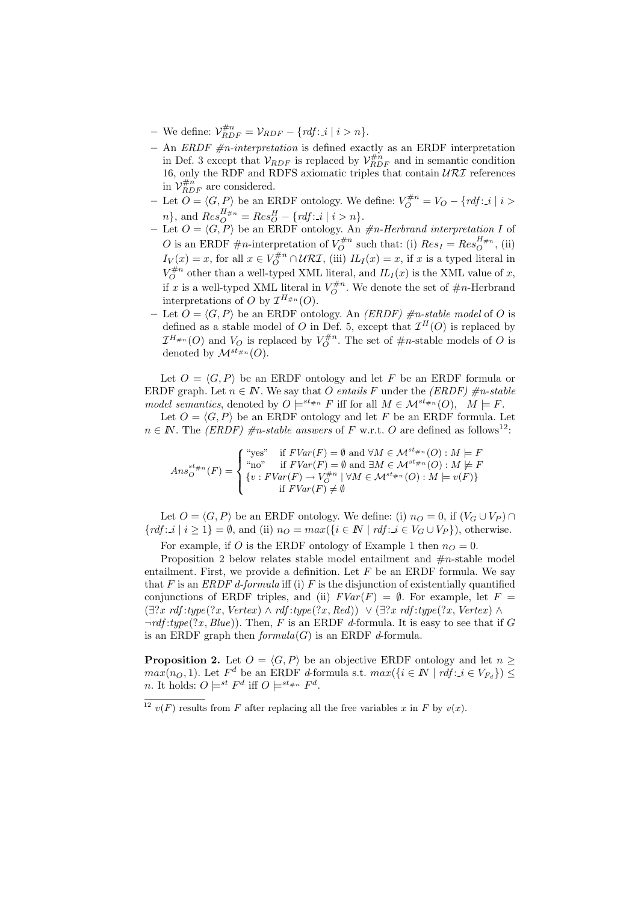- We define:  $\mathcal{V}_{RDF}^{\#n} = \mathcal{V}_{RDF} \{ rdf : i \mid i > n \}.$
- An ERDF  $\#n\text{-}interpretation$  is defined exactly as an ERDF interpretation in Def. 3 except that  $V_{RDF}$  is replaced by  $V_{RDF}^{\#n}$  and in semantic condition 16, only the RDF and RDFS axiomatic triples that contain  $\mathcal{U}\mathcal{R}\mathcal{I}$  references in  $\mathcal{V}_{RDF}^{\#n}$  are considered.
- − Let  $O = \langle G, P \rangle$  be an ERDF ontology. We define:  $V_O^{\#n} = V_O \{ rdf : i \mid i >$ *n*}, and  $Res_{O}^{H_{\#n}} = Res_{O}^{H} - \{ rdf : i \mid i > n \}.$
- Let  $O = \langle G, P \rangle$  be an ERDF ontology. An #n-Herbrand interpretation I of O is an ERDF #n-interpretation of  $V_Q^{\#n}$  such that: (i)  $Res_I = Res_O^{H_{\#n}}$ , (ii)  $I_V(x) = x$ , for all  $x \in V_O^{\#n} \cap \mathcal{URL}$ , (iii)  $IL_I(x) = x$ , if x is a typed literal in  $V_O^{\#n}$  other than a well-typed XML literal, and  $IL_I(x)$  is the XML value of x, if x is a well-typed XML literal in  $V_Q^{\#n}$ . We denote the set of  $\#n$ -Herbrand interpretations of O by  $\mathcal{I}^{H_{\#n}}(O)$ .
- Let  $O = \langle G, P \rangle$  be an ERDF ontology. An *(ERDF)* #n-stable model of O is defined as a stable model of O in Def. 5, except that  $\mathcal{I}^H(O)$  is replaced by  $\mathcal{I}^{H_{\#n}}(O)$  and  $V_O$  is replaced by  $V_O^{\#n}$ . The set of  $\#n$ -stable models of O is denoted by  $\mathcal{M}^{st_{\#n}}(O)$ .

Let  $O = \langle G, P \rangle$  be an ERDF ontology and let F be an ERDF formula or ERDF graph. Let  $n \in \mathbb{N}$ . We say that O entails F under the (ERDF)  $\#n\text{-stable}$ model semantics, denoted by  $O \models^{st_{\#n}} F$  iff for all  $M \in \mathcal{M}^{st_{\#n}}(O)$ ,  $M \models F$ .

Let  $O = \langle G, P \rangle$  be an ERDF ontology and let F be an ERDF formula. Let  $n \in \mathbb{N}$ . The *(ERDF)* #n-stable answers of F w.r.t. O are defined as follows<sup>12</sup>:

$$
Ans_{O}^{st_{\#n}}(F) = \begin{cases} \n\text{``yes''} & \text{if } FVar(F) = \emptyset \text{ and } \forall M \in \mathcal{M}^{st_{\#n}}(O) : M \models F \\
\text{``no''} & \text{if } FVar(F) = \emptyset \text{ and } \exists M \in \mathcal{M}^{st_{\#n}}(O) : M \not\models F \\
\{v : FVar(F) \to V_O^{\#n} \mid \forall M \in \mathcal{M}^{st_{\#n}}(O) : M \models v(F) \} \\
\text{if } FVar(F) \neq \emptyset\n\end{cases}
$$

Let  $O = \langle G, P \rangle$  be an ERDF ontology. We define: (i)  $n_O = 0$ , if  $(V_G \cup V_P) \cap$  $\{rdf : i \mid i \geq 1\} = \emptyset$ , and (ii)  $n_Q = max(\{i \in \mathbb{N} \mid rdf : i \in V_G \cup V_P\})$ , otherwise.

For example, if O is the ERDF ontology of Example 1 then  $n_Q = 0$ .

Proposition 2 below relates stable model entailment and  $\#n$ -stable model entailment. First, we provide a definition. Let  $F$  be an ERDF formula. We say that F is an ERDF d-formula iff (i) F is the disjunction of existentially quantified conjunctions of ERDF triples, and (ii)  $FVar(F) = \emptyset$ . For example, let  $F =$  $(\exists?x \; rdf: type(?x, \textit{Vertex}) \land rdf: type(?x, \textit{Red})) \ \lor (\exists?x \; rdf: type(?x, \textit{Vertex}) \land \neg rdf: type(?x, \textit{Red})$ ¬rdf :type(?x , Blue)). Then, F is an ERDF d-formula. It is easy to see that if G is an ERDF graph then  $formula(G)$  is an ERDF d-formula.

**Proposition 2.** Let  $O = \langle G, P \rangle$  be an objective ERDF ontology and let  $n \geq$  $max(n_O, 1)$ . Let  $F^d$  be an ERDF *d*-formula s.t.  $max({i \in N \mid rdf : i \in V_{F_d}}) \le$ *n*. It holds:  $O \models^{st} F^d$  iff  $O \models^{st_{\#n}} F^d$ .

<sup>&</sup>lt;sup>12</sup>  $v(F)$  results from F after replacing all the free variables x in F by  $v(x)$ .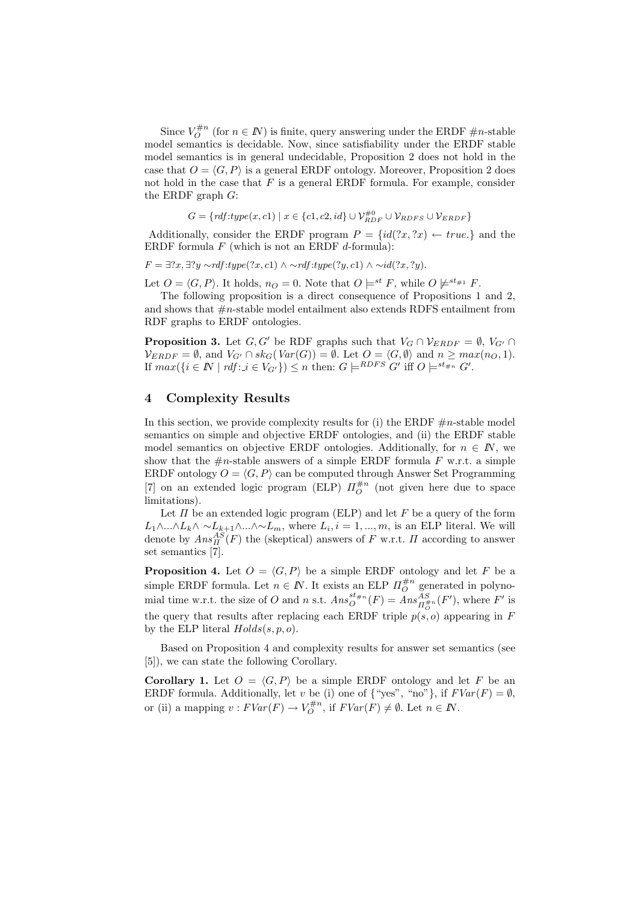Since  $V_O^{\#n}$  (for  $n \in \mathbb{N}$ ) is finite, query answering under the ERDF  $\#n$ -stable model semantics is decidable. Now, since satisfiability under the ERDF stable model semantics is in general undecidable, Proposition 2 does not hold in the case that  $O = \langle G, P \rangle$  is a general ERDF ontology. Moreover, Proposition 2 does not hold in the case that  $F$  is a general ERDF formula. For example, consider the ERDF graph  $G$ :

$$
G = \{ rdf: type(x, c1) \mid x \in \{c1, c2, id\} \cup \mathcal{V}_{RDF}^{\#0} \cup \mathcal{V}_{RDFS} \cup \mathcal{V}_{ERDF} \}
$$

Additionally, consider the ERDF program  $P = \{id(?x, ?x) \leftarrow true.\}$  and the ERDF formula  $F$  (which is not an ERDF  $d$ -formula):

 $F = \exists ?x, \exists ?y \sim rdf: type(?, c1) \land \sim rdf: type(?, c1) \land \sim id(?, ?y).$ 

Let  $O = \langle G, P \rangle$ . It holds,  $n_O = 0$ . Note that  $O \models^{st} F$ , while  $O \not\models^{st_{\#1}} F$ .

The following proposition is a direct consequence of Propositions 1 and 2, and shows that  $\#n$ -stable model entailment also extends RDFS entailment from RDF graphs to ERDF ontologies.

**Proposition 3.** Let  $G, G'$  be RDF graphs such that  $V_G \cap \mathcal{V}_{ERDF} = \emptyset$ ,  $V_{G'} \cap \mathcal{V}_{ERDF}$  $\mathcal{V}_{ERDF} = \emptyset$ , and  $V_{G'} \cap sk_G(Var(G)) = \emptyset$ . Let  $O = \langle G, \emptyset \rangle$  and  $n \geq max(n_O, 1)$ . If  $max({i \in N \mid rdf : i \in V_{G'}}) \le n$  then:  $G \models^{RDFS} G'$  iff  $O \models^{st_{\#n}} G'$ .

### 4 Complexity Results

In this section, we provide complexity results for (i) the ERDF  $\#n$ -stable model semantics on simple and objective ERDF ontologies, and (ii) the ERDF stable model semantics on objective ERDF ontologies. Additionally, for  $n \in \mathbb{N}$ , we show that the  $\#n$ -stable answers of a simple ERDF formula F w.r.t. a simple ERDF ontology  $O = \langle G, P \rangle$  can be computed through Answer Set Programming [7] on an extended logic program (ELP)  $\Pi_{\cal{O}}^{\#n}$  (not given here due to space limitations).

Let  $\Pi$  be an extended logic program (ELP) and let  $F$  be a query of the form  $L_1 \wedge ... \wedge L_k \wedge \neg L_{k+1} \wedge ... \wedge \neg L_m$ , where  $L_i, i = 1, ..., m$ , is an ELP literal. We will denote by  $Ans_{\Pi}^{AS}(F)$  the (skeptical) answers of F w.r.t.  $\Pi$  according to answer set semantics [7].

**Proposition 4.** Let  $O = \langle G, P \rangle$  be a simple ERDF ontology and let F be a simple ERDF formula. Let  $n \in \mathbb{N}$ . It exists an ELP  $\Pi_{\mathcal{O}}^{\#n}$  generated in polynomial time w.r.t. the size of O and n s.t.  $Ans_O^{st_{\#n}}(F) = Ans_{\Pi_{\mathcal{O}}^{\#n}}^{AS}(F')$ , where F' is the query that results after replacing each ERDF triple  $p(s, o)$  appearing in F by the ELP literal  $Holds(s, p, o)$ .

Based on Proposition 4 and complexity results for answer set semantics (see [5]), we can state the following Corollary.

**Corollary 1.** Let  $O = \langle G, P \rangle$  be a simple ERDF ontology and let F be an ERDF formula. Additionally, let v be (i) one of {"yes", "no"}, if  $FVar(F) = \emptyset$ , or (ii) a mapping  $v: FVar(F) \to V_O^{\#n}$ , if  $FVar(F) \neq \emptyset$ . Let  $n \in \mathbb{N}$ .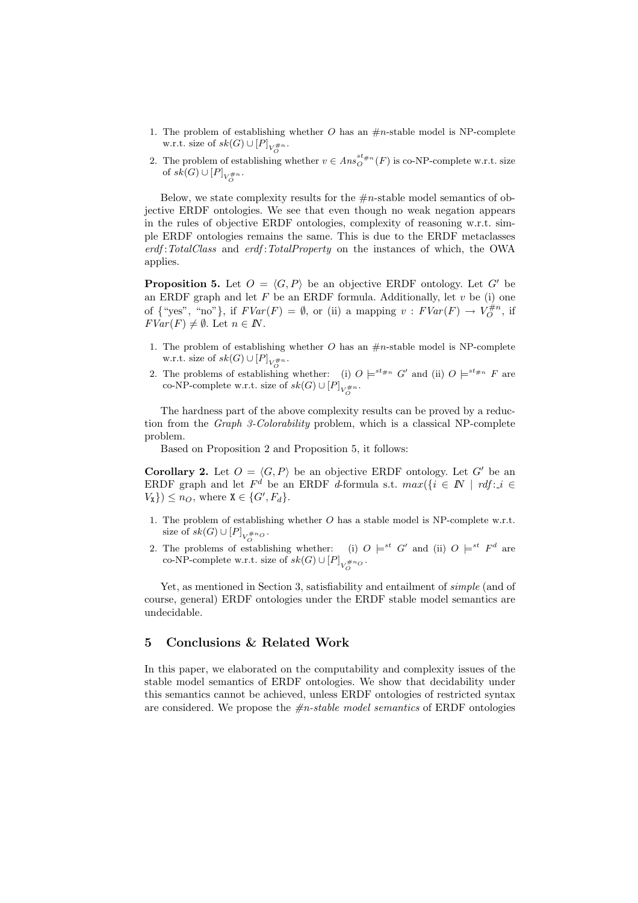- 1. The problem of establishing whether O has an  $\#n$ -stable model is NP-complete w.r.t. size of  $sk(G) \cup [P]_{V_Q^{\#n}}$ .
- 2. The problem of establishing whether  $v \in Ans_0^{st_{\#n}}(F)$  is co-NP-complete w.r.t. size of  $sk(G) \cup [P]_{V_Q^{\#n}}$ .

Below, we state complexity results for the  $\#n$ -stable model semantics of objective ERDF ontologies. We see that even though no weak negation appears in the rules of objective ERDF ontologies, complexity of reasoning w.r.t. simple ERDF ontologies remains the same. This is due to the ERDF metaclasses erdf: TotalClass and erdf: TotalProperty on the instances of which, the OWA applies.

**Proposition 5.** Let  $O = \langle G, P \rangle$  be an objective ERDF ontology. Let G' be an ERDF graph and let  $F$  be an ERDF formula. Additionally, let  $v$  be (i) one of {"yes", "no"}, if  $FVar(F) = \emptyset$ , or (ii) a mapping  $v : FVar(F) \to V_O^{\#n}$ , if  $FVar(F) \neq \emptyset$ . Let  $n \in \mathbb{N}$ .

- 1. The problem of establishing whether O has an  $\#n$ -stable model is NP-complete w.r.t. size of  $sk(G) \cup [P]_{V_Q^{\#n}}$ .
- 2. The problems of establishing whether: (i)  $O \models^{st_{\#n}} G'$  and (ii)  $O \models^{st_{\#n}} F$  are co-NP-complete w.r.t. size of  $sk(G) \cup [P]_{V_Q^{\#n}}$ .

The hardness part of the above complexity results can be proved by a reduction from the *Graph 3-Colorability* problem, which is a classical NP-complete problem.

Based on Proposition 2 and Proposition 5, it follows:

**Corollary 2.** Let  $O = \langle G, P \rangle$  be an objective ERDF ontology. Let G' be an ERDF graph and let  $F^d$  be an ERDF d-formula s.t.  $max({i \in N \mid rdf : i \in N}]$  $V_{\mathbf{X}}\}) \leq n_O$ , where  $\mathbf{X} \in \{G', F_d\}.$ 

- 1. The problem of establishing whether  $O$  has a stable model is NP-complete w.r.t. size of  $sk(G) \cup [P]_{V_{O}^{\#n}O}$ .
- 2. The problems of establishing whether: (i)  $O \models^{st} G'$  and (ii)  $O \models^{st} F^d$  are co-NP-complete w.r.t. size of  $sk(G) \cup [P]_{V_Q^{\#n}O}$ .

Yet, as mentioned in Section 3, satisfiability and entailment of *simple* (and of course, general) ERDF ontologies under the ERDF stable model semantics are undecidable.

### 5 Conclusions & Related Work

In this paper, we elaborated on the computability and complexity issues of the stable model semantics of ERDF ontologies. We show that decidability under this semantics cannot be achieved, unless ERDF ontologies of restricted syntax are considered. We propose the  $\#n-stable \ model \ semantics$  of ERDF ontologies